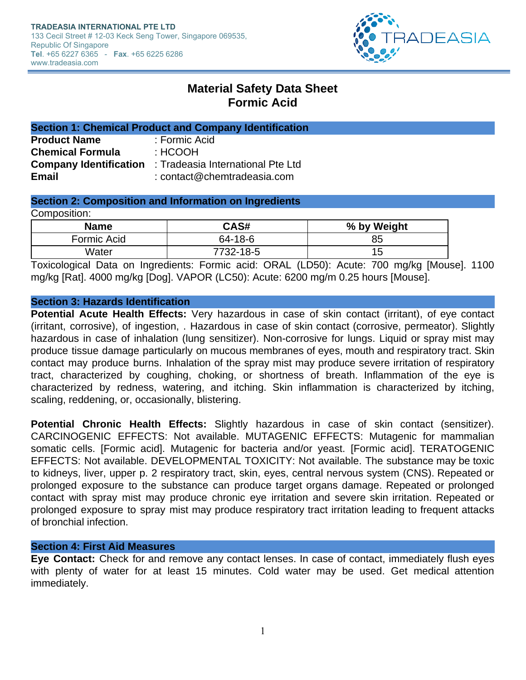

# **Material Safety Data Sheet Formic Acid**

| <b>Section 1: Chemical Product and Company Identification</b> |                                                                 |  |
|---------------------------------------------------------------|-----------------------------------------------------------------|--|
| <b>Product Name</b>                                           | : Formic Acid                                                   |  |
| <b>Chemical Formula</b>                                       | : HCOOH                                                         |  |
|                                                               | <b>Company Identification</b> : Tradeasia International Pte Ltd |  |
| <b>Email</b>                                                  | : $contact@chemtradeasia.com$                                   |  |

# **Section 2: Composition and Information on Ingredients**

Composition:

| <b>Name</b> | CAS#      | % by Weight |
|-------------|-----------|-------------|
| Formic Acid | 64-18-6   | 85          |
| Water       | 7732-18-5 | 15          |

Toxicological Data on Ingredients: Formic acid: ORAL (LD50): Acute: 700 mg/kg [Mouse]. 1100 mg/kg [Rat]. 4000 mg/kg [Dog]. VAPOR (LC50): Acute: 6200 mg/m 0.25 hours [Mouse].

## **Section 3: Hazards Identification**

**Potential Acute Health Effects:** Very hazardous in case of skin contact (irritant), of eye contact (irritant, corrosive), of ingestion, . Hazardous in case of skin contact (corrosive, permeator). Slightly hazardous in case of inhalation (lung sensitizer). Non-corrosive for lungs. Liquid or spray mist may produce tissue damage particularly on mucous membranes of eyes, mouth and respiratory tract. Skin contact may produce burns. Inhalation of the spray mist may produce severe irritation of respiratory tract, characterized by coughing, choking, or shortness of breath. Inflammation of the eye is characterized by redness, watering, and itching. Skin inflammation is characterized by itching, scaling, reddening, or, occasionally, blistering.

**Potential Chronic Health Effects:** Slightly hazardous in case of skin contact (sensitizer). CARCINOGENIC EFFECTS: Not available. MUTAGENIC EFFECTS: Mutagenic for mammalian somatic cells. [Formic acid]. Mutagenic for bacteria and/or yeast. [Formic acid]. TERATOGENIC EFFECTS: Not available. DEVELOPMENTAL TOXICITY: Not available. The substance may be toxic to kidneys, liver, upper p. 2 respiratory tract, skin, eyes, central nervous system (CNS). Repeated or prolonged exposure to the substance can produce target organs damage. Repeated or prolonged contact with spray mist may produce chronic eye irritation and severe skin irritation. Repeated or prolonged exposure to spray mist may produce respiratory tract irritation leading to frequent attacks of bronchial infection.

## **Section 4: First Aid Measures**

**Eye Contact:** Check for and remove any contact lenses. In case of contact, immediately flush eyes with plenty of water for at least 15 minutes. Cold water may be used. Get medical attention immediately.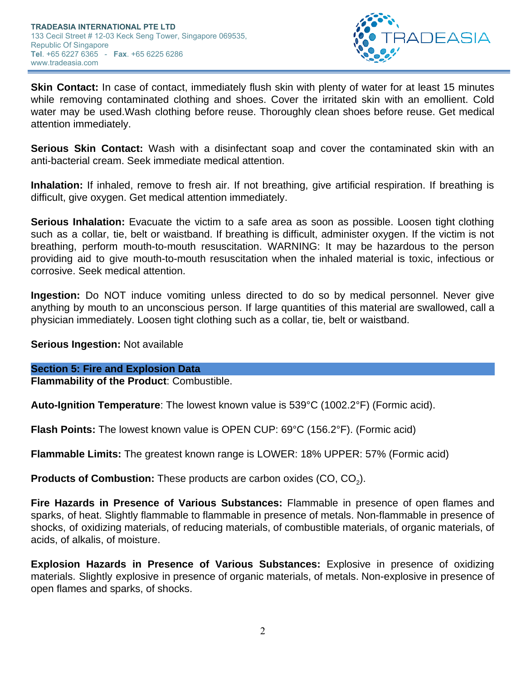

**Skin Contact:** In case of contact, immediately flush skin with plenty of water for at least 15 minutes while removing contaminated clothing and shoes. Cover the irritated skin with an emollient. Cold water may be used.Wash clothing before reuse. Thoroughly clean shoes before reuse. Get medical attention immediately.

**Serious Skin Contact:** Wash with a disinfectant soap and cover the contaminated skin with an anti-bacterial cream. Seek immediate medical attention.

**Inhalation:** If inhaled, remove to fresh air. If not breathing, give artificial respiration. If breathing is difficult, give oxygen. Get medical attention immediately.

**Serious Inhalation:** Evacuate the victim to a safe area as soon as possible. Loosen tight clothing such as a collar, tie, belt or waistband. If breathing is difficult, administer oxygen. If the victim is not breathing, perform mouth-to-mouth resuscitation. WARNING: It may be hazardous to the person providing aid to give mouth-to-mouth resuscitation when the inhaled material is toxic, infectious or corrosive. Seek medical attention.

**Ingestion:** Do NOT induce vomiting unless directed to do so by medical personnel. Never give anything by mouth to an unconscious person. If large quantities of this material are swallowed, call a physician immediately. Loosen tight clothing such as a collar, tie, belt or waistband.

**Serious Ingestion:** Not available

## **Section 5: Fire and Explosion Data**

**Flammability of the Product**: Combustible.

**Auto-Ignition Temperature**: The lowest known value is 539°C (1002.2°F) (Formic acid).

**Flash Points:** The lowest known value is OPEN CUP: 69°C (156.2°F). (Formic acid)

**Flammable Limits:** The greatest known range is LOWER: 18% UPPER: 57% (Formic acid)

**Products of Combustion:** These products are carbon oxides (CO, CO<sub>2</sub>).

**Fire Hazards in Presence of Various Substances:** Flammable in presence of open flames and sparks, of heat. Slightly flammable to flammable in presence of metals. Non-flammable in presence of shocks, of oxidizing materials, of reducing materials, of combustible materials, of organic materials, of acids, of alkalis, of moisture.

**Explosion Hazards in Presence of Various Substances:** Explosive in presence of oxidizing materials. Slightly explosive in presence of organic materials, of metals. Non-explosive in presence of open flames and sparks, of shocks.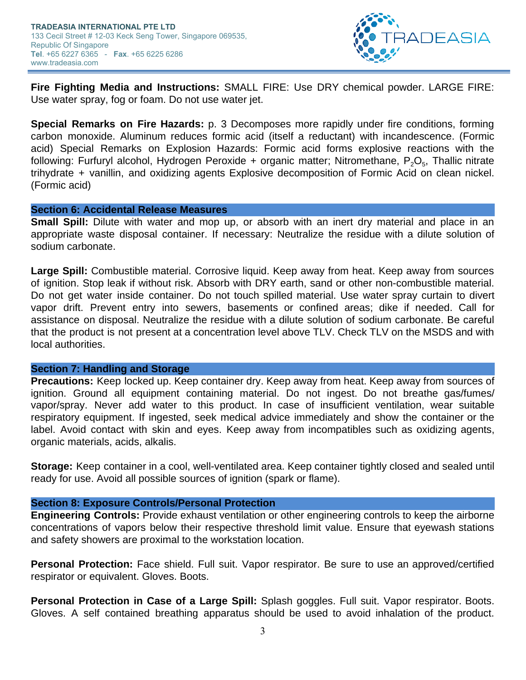

**Fire Fighting Media and Instructions:** SMALL FIRE: Use DRY chemical powder. LARGE FIRE: Use water spray, fog or foam. Do not use water jet.

**Special Remarks on Fire Hazards:** p. 3 Decomposes more rapidly under fire conditions, forming carbon monoxide. Aluminum reduces formic acid (itself a reductant) with incandescence. (Formic acid) Special Remarks on Explosion Hazards: Formic acid forms explosive reactions with the following: Furfuryl alcohol, Hydrogen Peroxide + organic matter; Nitromethane, P $_{2} \rm O_{5}$ , Thallic nitrate trihydrate + vanillin, and oxidizing agents Explosive decomposition of Formic Acid on clean nickel. (Formic acid)

## **Section 6: Accidental Release Measures**

**Small Spill:** Dilute with water and mop up, or absorb with an inert dry material and place in an appropriate waste disposal container. If necessary: Neutralize the residue with a dilute solution of sodium carbonate.

**Large Spill:** Combustible material. Corrosive liquid. Keep away from heat. Keep away from sources of ignition. Stop leak if without risk. Absorb with DRY earth, sand or other non-combustible material. Do not get water inside container. Do not touch spilled material. Use water spray curtain to divert vapor drift. Prevent entry into sewers, basements or confined areas; dike if needed. Call for assistance on disposal. Neutralize the residue with a dilute solution of sodium carbonate. Be careful that the product is not present at a concentration level above TLV. Check TLV on the MSDS and with local authorities.

## **Section 7: Handling and Storage**

**Precautions:** Keep locked up. Keep container dry. Keep away from heat. Keep away from sources of ignition. Ground all equipment containing material. Do not ingest. Do not breathe gas/fumes/ vapor/spray. Never add water to this product. In case of insufficient ventilation, wear suitable respiratory equipment. If ingested, seek medical advice immediately and show the container or the label. Avoid contact with skin and eyes. Keep away from incompatibles such as oxidizing agents, organic materials, acids, alkalis.

**Storage:** Keep container in a cool, well-ventilated area. Keep container tightly closed and sealed until ready for use. Avoid all possible sources of ignition (spark or flame).

## **Section 8: Exposure Controls/Personal Protection**

**Engineering Controls:** Provide exhaust ventilation or other engineering controls to keep the airborne concentrations of vapors below their respective threshold limit value. Ensure that eyewash stations and safety showers are proximal to the workstation location.

**Personal Protection:** Face shield. Full suit. Vapor respirator. Be sure to use an approved/certified respirator or equivalent. Gloves. Boots.

**Personal Protection in Case of a Large Spill:** Splash goggles. Full suit. Vapor respirator. Boots. Gloves. A self contained breathing apparatus should be used to avoid inhalation of the product.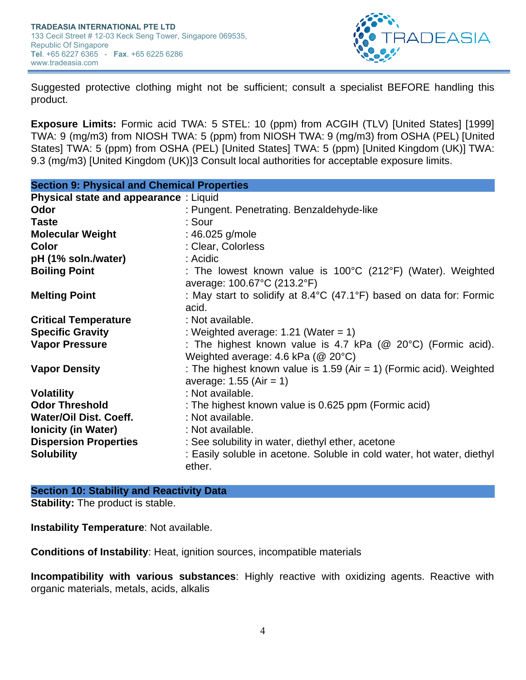

Suggested protective clothing might not be sufficient; consult a specialist BEFORE handling this product.

**Exposure Limits:** Formic acid TWA: 5 STEL: 10 (ppm) from ACGIH (TLV) [United States] [1999] TWA: 9 (mg/m3) from NIOSH TWA: 5 (ppm) from NIOSH TWA: 9 (mg/m3) from OSHA (PEL) [United States] TWA: 5 (ppm) from OSHA (PEL) [United States] TWA: 5 (ppm) [United Kingdom (UK)] TWA: 9.3 (mg/m3) [United Kingdom (UK)]3 Consult local authorities for acceptable exposure limits.

| <b>Section 9: Physical and Chemical Properties</b> |                                                                                          |  |
|----------------------------------------------------|------------------------------------------------------------------------------------------|--|
| <b>Physical state and appearance : Liquid</b>      |                                                                                          |  |
| Odor                                               | : Pungent. Penetrating. Benzaldehyde-like                                                |  |
| <b>Taste</b>                                       | : Sour                                                                                   |  |
| <b>Molecular Weight</b>                            | : 46.025 g/mole                                                                          |  |
| Color                                              | : Clear, Colorless                                                                       |  |
| pH (1% soln./water)                                | : Acidic                                                                                 |  |
| <b>Boiling Point</b>                               | : The lowest known value is $100^{\circ}$ C (212 $^{\circ}$ F) (Water). Weighted         |  |
|                                                    | average: 100.67°C (213.2°F)                                                              |  |
| <b>Melting Point</b>                               | : May start to solidify at $8.4^{\circ}$ C (47.1 $^{\circ}$ F) based on data for: Formic |  |
|                                                    | acid.                                                                                    |  |
| <b>Critical Temperature</b>                        | : Not available.                                                                         |  |
| <b>Specific Gravity</b>                            | : Weighted average: $1.21$ (Water = 1)                                                   |  |
| <b>Vapor Pressure</b>                              | : The highest known value is 4.7 kPa ( $@$ 20 $°C$ ) (Formic acid).                      |  |
|                                                    | Weighted average: 4.6 kPa ( $@$ 20 $°C$ )                                                |  |
| <b>Vapor Density</b>                               | : The highest known value is $1.59$ (Air = 1) (Formic acid). Weighted                    |  |
|                                                    | average: $1.55$ (Air = 1)                                                                |  |
| <b>Volatility</b>                                  | : Not available.                                                                         |  |
| <b>Odor Threshold</b>                              | : The highest known value is 0.625 ppm (Formic acid)                                     |  |
| <b>Water/Oil Dist. Coeff.</b>                      | : Not available.                                                                         |  |
| <b>Ionicity (in Water)</b>                         | : Not available.                                                                         |  |
| <b>Dispersion Properties</b>                       | : See solubility in water, diethyl ether, acetone                                        |  |
| <b>Solubility</b>                                  | : Easily soluble in acetone. Soluble in cold water, hot water, diethyl<br>ether.         |  |

## **Section 10: Stability and Reactivity Data**

**Stability:** The product is stable.

**Instability Temperature**: Not available.

**Conditions of Instability**: Heat, ignition sources, incompatible materials

**Incompatibility with various substances**: Highly reactive with oxidizing agents. Reactive with organic materials, metals, acids, alkalis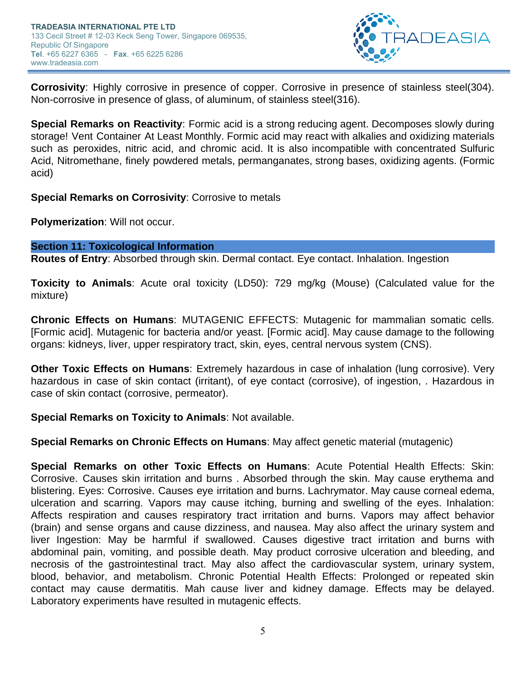

**Corrosivity**: Highly corrosive in presence of copper. Corrosive in presence of stainless steel(304). Non-corrosive in presence of glass, of aluminum, of stainless steel(316).

**Special Remarks on Reactivity**: Formic acid is a strong reducing agent. Decomposes slowly during storage! Vent Container At Least Monthly. Formic acid may react with alkalies and oxidizing materials such as peroxides, nitric acid, and chromic acid. It is also incompatible with concentrated Sulfuric Acid, Nitromethane, finely powdered metals, permanganates, strong bases, oxidizing agents. (Formic acid)

**Special Remarks on Corrosivity**: Corrosive to metals

**Polymerization**: Will not occur.

## **Section 11: Toxicological Information**

**Routes of Entry**: Absorbed through skin. Dermal contact. Eye contact. Inhalation. Ingestion

**Toxicity to Animals**: Acute oral toxicity (LD50): 729 mg/kg (Mouse) (Calculated value for the mixture)

**Chronic Effects on Humans**: MUTAGENIC EFFECTS: Mutagenic for mammalian somatic cells. [Formic acid]. Mutagenic for bacteria and/or yeast. [Formic acid]. May cause damage to the following organs: kidneys, liver, upper respiratory tract, skin, eyes, central nervous system (CNS).

**Other Toxic Effects on Humans**: Extremely hazardous in case of inhalation (lung corrosive). Very hazardous in case of skin contact (irritant), of eye contact (corrosive), of ingestion, . Hazardous in case of skin contact (corrosive, permeator).

## **Special Remarks on Toxicity to Animals**: Not available.

**Special Remarks on Chronic Effects on Humans**: May affect genetic material (mutagenic)

**Special Remarks on other Toxic Effects on Humans**: Acute Potential Health Effects: Skin: Corrosive. Causes skin irritation and burns . Absorbed through the skin. May cause erythema and blistering. Eyes: Corrosive. Causes eye irritation and burns. Lachrymator. May cause corneal edema, ulceration and scarring. Vapors may cause itching, burning and swelling of the eyes. Inhalation: Affects respiration and causes respiratory tract irritation and burns. Vapors may affect behavior (brain) and sense organs and cause dizziness, and nausea. May also affect the urinary system and liver Ingestion: May be harmful if swallowed. Causes digestive tract irritation and burns with abdominal pain, vomiting, and possible death. May product corrosive ulceration and bleeding, and necrosis of the gastrointestinal tract. May also affect the cardiovascular system, urinary system, blood, behavior, and metabolism. Chronic Potential Health Effects: Prolonged or repeated skin contact may cause dermatitis. Mah cause liver and kidney damage. Effects may be delayed. Laboratory experiments have resulted in mutagenic effects.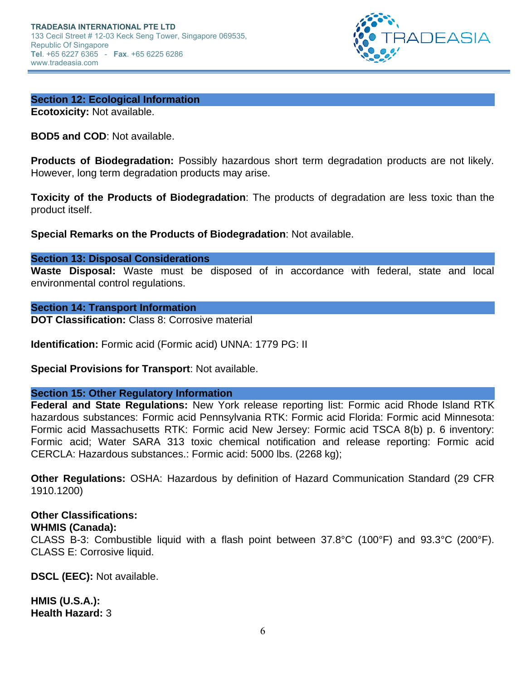

# **Section 12: Ecological Information**

**Ecotoxicity:** Not available.

**BOD5 and COD**: Not available.

**Products of Biodegradation:** Possibly hazardous short term degradation products are not likely. However, long term degradation products may arise.

**Toxicity of the Products of Biodegradation**: The products of degradation are less toxic than the product itself.

**Special Remarks on the Products of Biodegradation**: Not available.

#### **Section 13: Disposal Considerations**

**Waste Disposal:** Waste must be disposed of in accordance with federal, state and local environmental control regulations.

#### **Section 14: Transport Information**

**DOT Classification: Class 8: Corrosive material** 

**Identification:** Formic acid (Formic acid) UNNA: 1779 PG: II

**Special Provisions for Transport**: Not available.

## **Section 15: Other Regulatory Information**

**Federal and State Regulations:** New York release reporting list: Formic acid Rhode Island RTK hazardous substances: Formic acid Pennsylvania RTK: Formic acid Florida: Formic acid Minnesota: Formic acid Massachusetts RTK: Formic acid New Jersey: Formic acid TSCA 8(b) p. 6 inventory: Formic acid; Water SARA 313 toxic chemical notification and release reporting: Formic acid CERCLA: Hazardous substances.: Formic acid: 5000 lbs. (2268 kg);

**Other Regulations:** OSHA: Hazardous by definition of Hazard Communication Standard (29 CFR 1910.1200)

# **Other Classifications:**

## **WHMIS (Canada):**

CLASS B-3: Combustible liquid with a flash point between 37.8°C (100°F) and 93.3°C (200°F). CLASS E: Corrosive liquid.

**DSCL (EEC):** Not available.

**HMIS (U.S.A.): Health Hazard:** 3